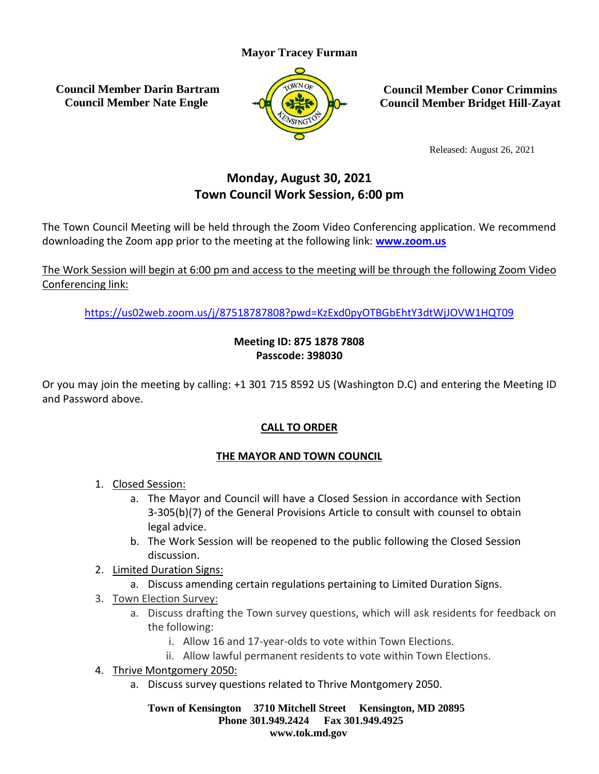### **Mayor Tracey Furman**

**Council Member Darin Bartram Council Member Nate Engle**



**Council Member Conor Crimmins Council Member Bridget Hill-Zayat**

Released: August 26, 2021

# **Monday, August 30, 2021 Town Council Work Session, 6:00 pm**

The Town Council Meeting will be held through the Zoom Video Conferencing application. We recommend downloading the Zoom app prior to the meeting at the following link: **[www.zoom.us](http://www.zoom.us/)**

The Work Session will begin at 6:00 pm and access to the meeting will be through the following Zoom Video Conferencing link:

<https://us02web.zoom.us/j/87518787808?pwd=KzExd0pyOTBGbEhtY3dtWjJOVW1HQT09>

### **Meeting ID: 875 1878 7808 Passcode: 398030**

Or you may join the meeting by calling: +1 301 715 8592 US (Washington D.C) and entering the Meeting ID and Password above.

# **CALL TO ORDER**

# **THE MAYOR AND TOWN COUNCIL**

- 1. Closed Session:
	- a. The Mayor and Council will have a Closed Session in accordance with Section 3-305(b)(7) of the General Provisions Article to consult with counsel to obtain legal advice.
	- b. The Work Session will be reopened to the public following the Closed Session discussion.
- 2. Limited Duration Signs:
	- a. Discuss amending certain regulations pertaining to Limited Duration Signs.
- 3. Town Election Survey:
	- a. Discuss drafting the Town survey questions, which will ask residents for feedback on the following:
		- i. Allow 16 and 17-year-olds to vote within Town Elections.
		- ii. Allow lawful permanent residents to vote within Town Elections.
- 4. Thrive Montgomery 2050:
	- a. Discuss survey questions related to Thrive Montgomery 2050.

**Town of Kensington 3710 Mitchell Street Kensington, MD 20895 Phone 301.949.2424 Fax 301.949.4925 www.tok.md.gov**